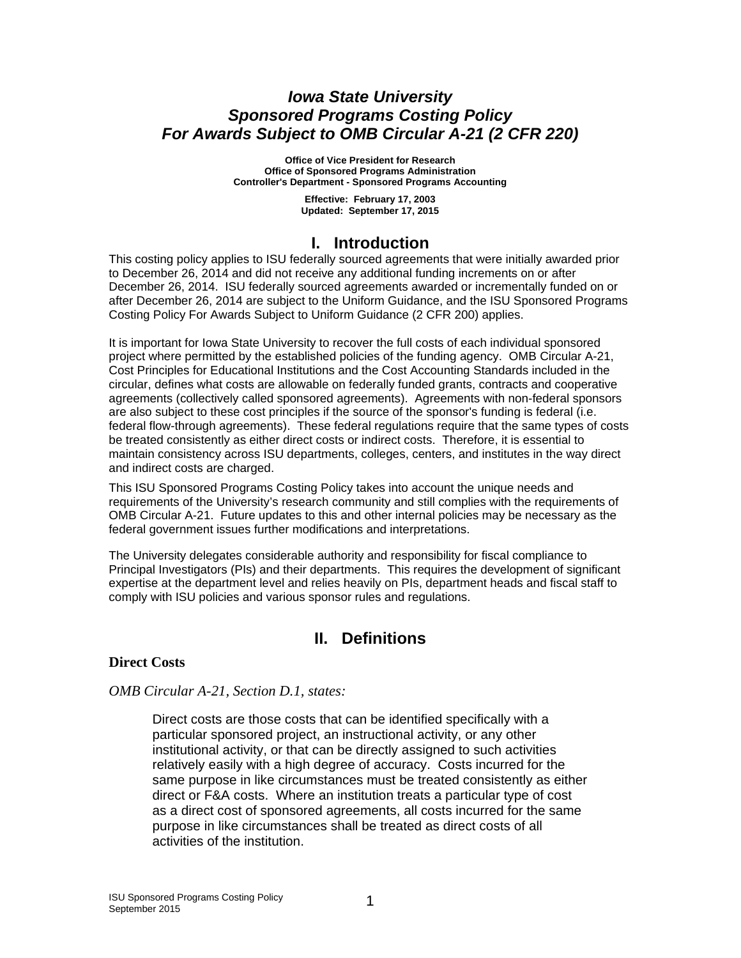### *Iowa State University Sponsored Programs Costing Policy For Awards Subject to OMB Circular A-21 (2 CFR 220)*

**Office of Vice President for Research Office of Sponsored Programs Administration Controller's Department - Sponsored Programs Accounting** 

> **Effective: February 17, 2003 Updated: September 17, 2015**

### **I. Introduction**

This costing policy applies to ISU federally sourced agreements that were initially awarded prior to December 26, 2014 and did not receive any additional funding increments on or after December 26, 2014. ISU federally sourced agreements awarded or incrementally funded on or after December 26, 2014 are subject to the Uniform Guidance, and the ISU Sponsored Programs Costing Policy For Awards Subject to Uniform Guidance (2 CFR 200) applies.

It is important for Iowa State University to recover the full costs of each individual sponsored project where permitted by the established policies of the funding agency. OMB Circular A-21, Cost Principles for Educational Institutions and the Cost Accounting Standards included in the circular, defines what costs are allowable on federally funded grants, contracts and cooperative agreements (collectively called sponsored agreements). Agreements with non-federal sponsors are also subject to these cost principles if the source of the sponsor's funding is federal (i.e. federal flow-through agreements). These federal regulations require that the same types of costs be treated consistently as either direct costs or indirect costs. Therefore, it is essential to maintain consistency across ISU departments, colleges, centers, and institutes in the way direct and indirect costs are charged.

This ISU Sponsored Programs Costing Policy takes into account the unique needs and requirements of the University's research community and still complies with the requirements of OMB Circular A-21. Future updates to this and other internal policies may be necessary as the federal government issues further modifications and interpretations.

The University delegates considerable authority and responsibility for fiscal compliance to Principal Investigators (PIs) and their departments. This requires the development of significant expertise at the department level and relies heavily on PIs, department heads and fiscal staff to comply with ISU policies and various sponsor rules and regulations.

# **II. Definitions**

### **Direct Costs**

### *OMB Circular A-21, Section D.1, states:*

Direct costs are those costs that can be identified specifically with a particular sponsored project, an instructional activity, or any other institutional activity, or that can be directly assigned to such activities relatively easily with a high degree of accuracy. Costs incurred for the same purpose in like circumstances must be treated consistently as either direct or F&A costs. Where an institution treats a particular type of cost as a direct cost of sponsored agreements, all costs incurred for the same purpose in like circumstances shall be treated as direct costs of all activities of the institution.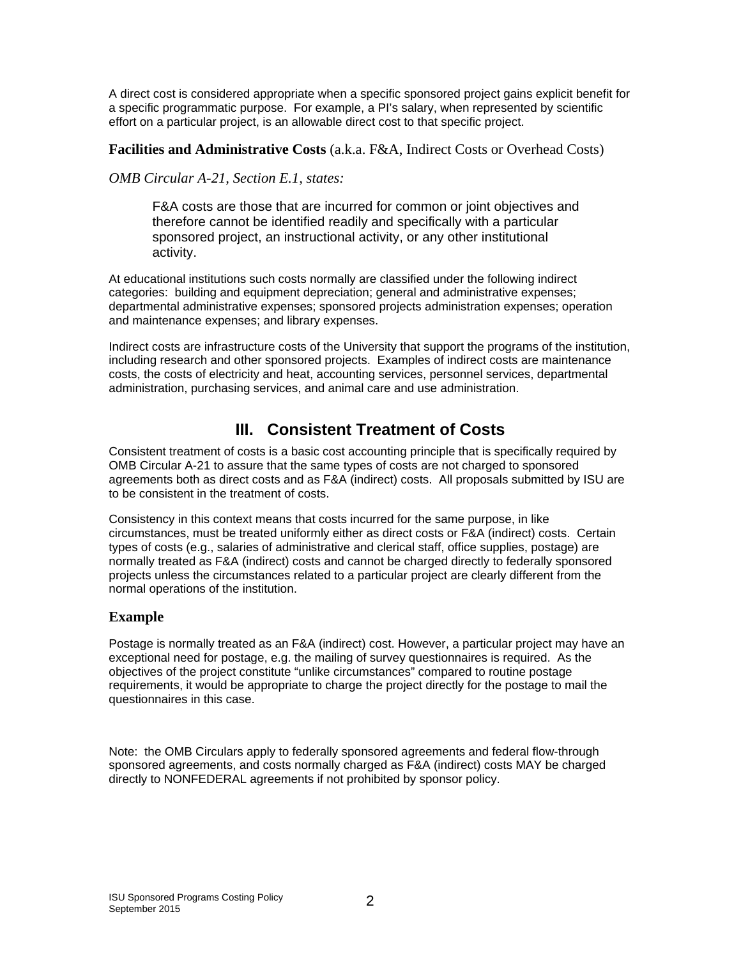A direct cost is considered appropriate when a specific sponsored project gains explicit benefit for a specific programmatic purpose. For example, a PI's salary, when represented by scientific effort on a particular project, is an allowable direct cost to that specific project.

### **Facilities and Administrative Costs** (a.k.a. F&A, Indirect Costs or Overhead Costs)

### *OMB Circular A-21, Section E.1, states:*

F&A costs are those that are incurred for common or joint objectives and therefore cannot be identified readily and specifically with a particular sponsored project, an instructional activity, or any other institutional activity.

At educational institutions such costs normally are classified under the following indirect categories: building and equipment depreciation; general and administrative expenses; departmental administrative expenses; sponsored projects administration expenses; operation and maintenance expenses; and library expenses.

Indirect costs are infrastructure costs of the University that support the programs of the institution, including research and other sponsored projects. Examples of indirect costs are maintenance costs, the costs of electricity and heat, accounting services, personnel services, departmental administration, purchasing services, and animal care and use administration.

# **III. Consistent Treatment of Costs**

Consistent treatment of costs is a basic cost accounting principle that is specifically required by OMB Circular A-21 to assure that the same types of costs are not charged to sponsored agreements both as direct costs and as F&A (indirect) costs. All proposals submitted by ISU are to be consistent in the treatment of costs.

Consistency in this context means that costs incurred for the same purpose, in like circumstances, must be treated uniformly either as direct costs or F&A (indirect) costs. Certain types of costs (e.g., salaries of administrative and clerical staff, office supplies, postage) are normally treated as F&A (indirect) costs and cannot be charged directly to federally sponsored projects unless the circumstances related to a particular project are clearly different from the normal operations of the institution.

### **Example**

Postage is normally treated as an F&A (indirect) cost. However, a particular project may have an exceptional need for postage, e.g. the mailing of survey questionnaires is required. As the objectives of the project constitute "unlike circumstances" compared to routine postage requirements, it would be appropriate to charge the project directly for the postage to mail the questionnaires in this case.

Note: the OMB Circulars apply to federally sponsored agreements and federal flow-through sponsored agreements, and costs normally charged as F&A (indirect) costs MAY be charged directly to NONFEDERAL agreements if not prohibited by sponsor policy.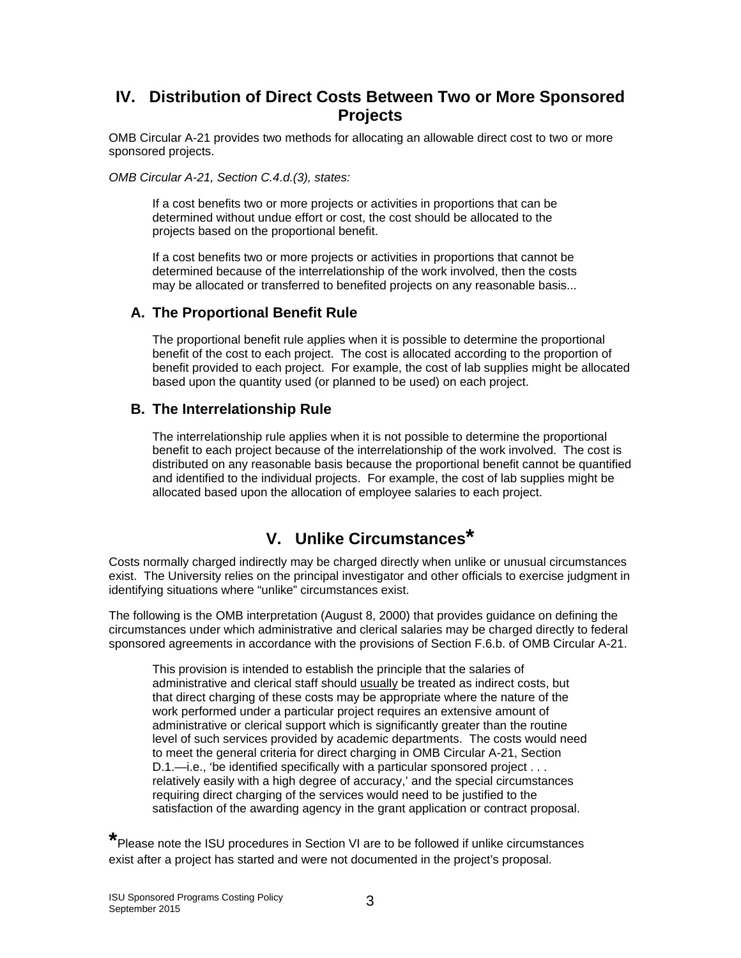# **IV. Distribution of Direct Costs Between Two or More Sponsored Projects**

OMB Circular A-21 provides two methods for allocating an allowable direct cost to two or more sponsored projects.

*OMB Circular A-21, Section C.4.d.(3), states:*

If a cost benefits two or more projects or activities in proportions that can be determined without undue effort or cost, the cost should be allocated to the projects based on the proportional benefit.

If a cost benefits two or more projects or activities in proportions that cannot be determined because of the interrelationship of the work involved, then the costs may be allocated or transferred to benefited projects on any reasonable basis...

### **A. The Proportional Benefit Rule**

The proportional benefit rule applies when it is possible to determine the proportional benefit of the cost to each project. The cost is allocated according to the proportion of benefit provided to each project. For example, the cost of lab supplies might be allocated based upon the quantity used (or planned to be used) on each project.

### **B. The Interrelationship Rule**

The interrelationship rule applies when it is not possible to determine the proportional benefit to each project because of the interrelationship of the work involved. The cost is distributed on any reasonable basis because the proportional benefit cannot be quantified and identified to the individual projects. For example, the cost of lab supplies might be allocated based upon the allocation of employee salaries to each project.

# **V. Unlike Circumstances\***

Costs normally charged indirectly may be charged directly when unlike or unusual circumstances exist. The University relies on the principal investigator and other officials to exercise judgment in identifying situations where "unlike" circumstances exist.

The following is the OMB interpretation (August 8, 2000) that provides guidance on defining the circumstances under which administrative and clerical salaries may be charged directly to federal sponsored agreements in accordance with the provisions of Section F.6.b. of OMB Circular A-21.

This provision is intended to establish the principle that the salaries of administrative and clerical staff should usually be treated as indirect costs, but that direct charging of these costs may be appropriate where the nature of the work performed under a particular project requires an extensive amount of administrative or clerical support which is significantly greater than the routine level of such services provided by academic departments. The costs would need to meet the general criteria for direct charging in OMB Circular A-21, Section D.1.—i.e., 'be identified specifically with a particular sponsored project . . . relatively easily with a high degree of accuracy,' and the special circumstances requiring direct charging of the services would need to be justified to the satisfaction of the awarding agency in the grant application or contract proposal.

**\***Please note the ISU procedures in Section VI are to be followed if unlike circumstances exist after a project has started and were not documented in the project's proposal.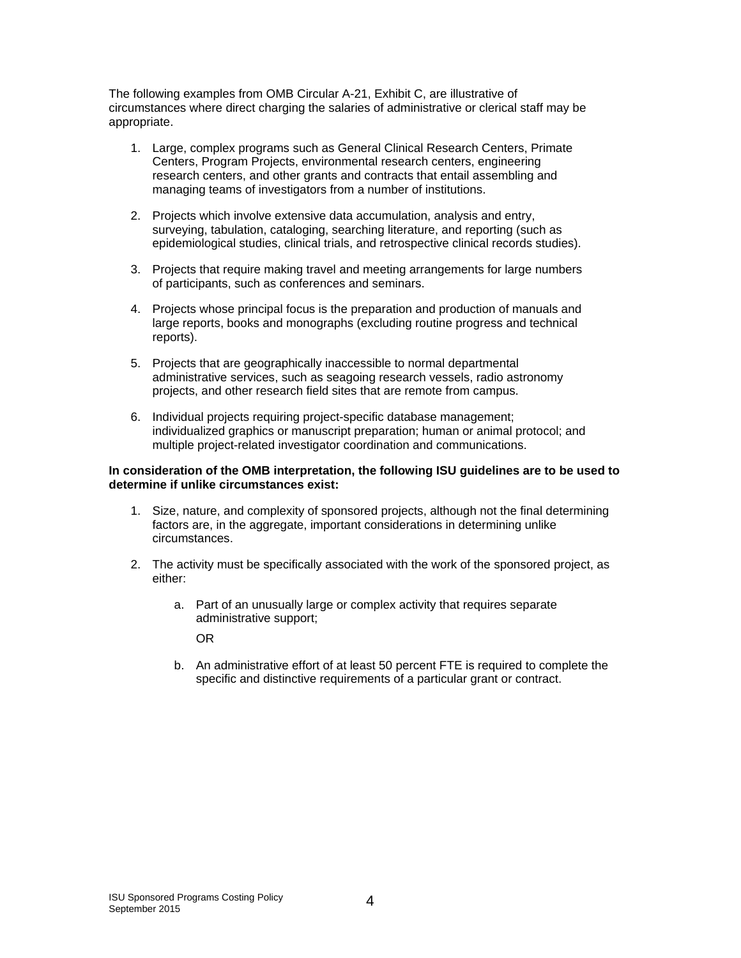The following examples from OMB Circular A-21, Exhibit C, are illustrative of circumstances where direct charging the salaries of administrative or clerical staff may be appropriate.

- 1. Large, complex programs such as General Clinical Research Centers, Primate Centers, Program Projects, environmental research centers, engineering research centers, and other grants and contracts that entail assembling and managing teams of investigators from a number of institutions.
- 2. Projects which involve extensive data accumulation, analysis and entry, surveying, tabulation, cataloging, searching literature, and reporting (such as epidemiological studies, clinical trials, and retrospective clinical records studies).
- 3. Projects that require making travel and meeting arrangements for large numbers of participants, such as conferences and seminars.
- 4. Projects whose principal focus is the preparation and production of manuals and large reports, books and monographs (excluding routine progress and technical reports).
- 5. Projects that are geographically inaccessible to normal departmental administrative services, such as seagoing research vessels, radio astronomy projects, and other research field sites that are remote from campus.
- 6. Individual projects requiring project-specific database management; individualized graphics or manuscript preparation; human or animal protocol; and multiple project-related investigator coordination and communications.

#### **In consideration of the OMB interpretation, the following ISU guidelines are to be used to determine if unlike circumstances exist:**

- 1. Size, nature, and complexity of sponsored projects, although not the final determining factors are, in the aggregate, important considerations in determining unlike circumstances.
- 2. The activity must be specifically associated with the work of the sponsored project, as either:
	- a. Part of an unusually large or complex activity that requires separate administrative support;

OR

b. An administrative effort of at least 50 percent FTE is required to complete the specific and distinctive requirements of a particular grant or contract.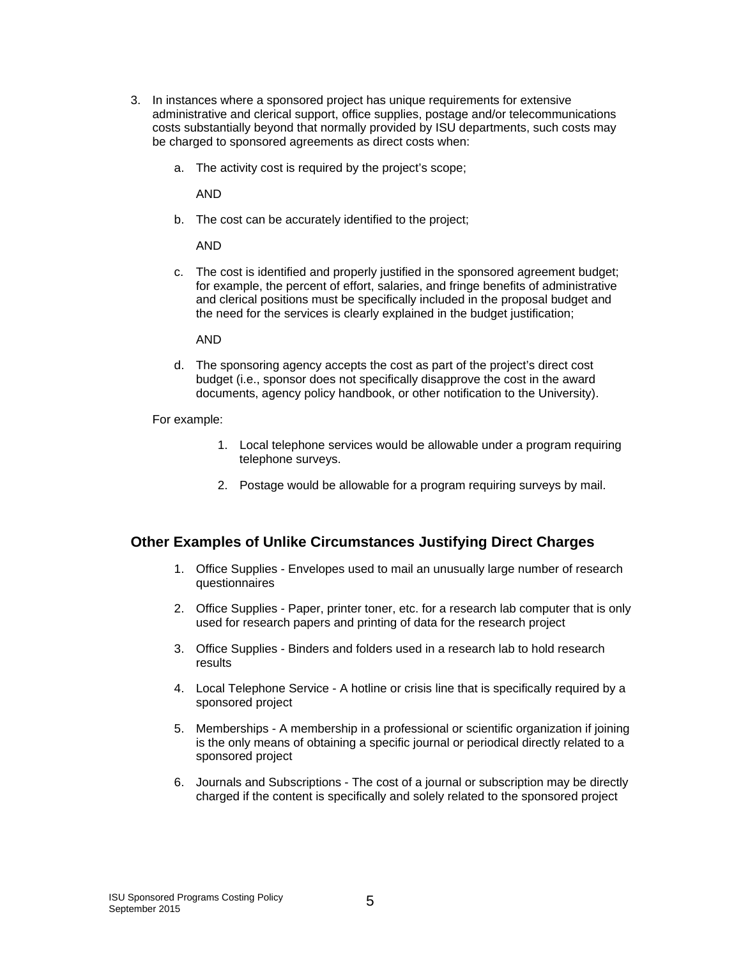- 3. In instances where a sponsored project has unique requirements for extensive administrative and clerical support, office supplies, postage and/or telecommunications costs substantially beyond that normally provided by ISU departments, such costs may be charged to sponsored agreements as direct costs when:
	- a. The activity cost is required by the project's scope;

AND

b. The cost can be accurately identified to the project;

AND

c. The cost is identified and properly justified in the sponsored agreement budget; for example, the percent of effort, salaries, and fringe benefits of administrative and clerical positions must be specifically included in the proposal budget and the need for the services is clearly explained in the budget justification;

AND

d. The sponsoring agency accepts the cost as part of the project's direct cost budget (i.e., sponsor does not specifically disapprove the cost in the award documents, agency policy handbook, or other notification to the University).

For example:

- 1. Local telephone services would be allowable under a program requiring telephone surveys.
- 2. Postage would be allowable for a program requiring surveys by mail.

### **Other Examples of Unlike Circumstances Justifying Direct Charges**

- 1. Office Supplies Envelopes used to mail an unusually large number of research questionnaires
- 2. Office Supplies Paper, printer toner, etc. for a research lab computer that is only used for research papers and printing of data for the research project
- 3. Office Supplies Binders and folders used in a research lab to hold research results
- 4. Local Telephone Service A hotline or crisis line that is specifically required by a sponsored project
- 5. Memberships A membership in a professional or scientific organization if joining is the only means of obtaining a specific journal or periodical directly related to a sponsored project
- 6. Journals and Subscriptions The cost of a journal or subscription may be directly charged if the content is specifically and solely related to the sponsored project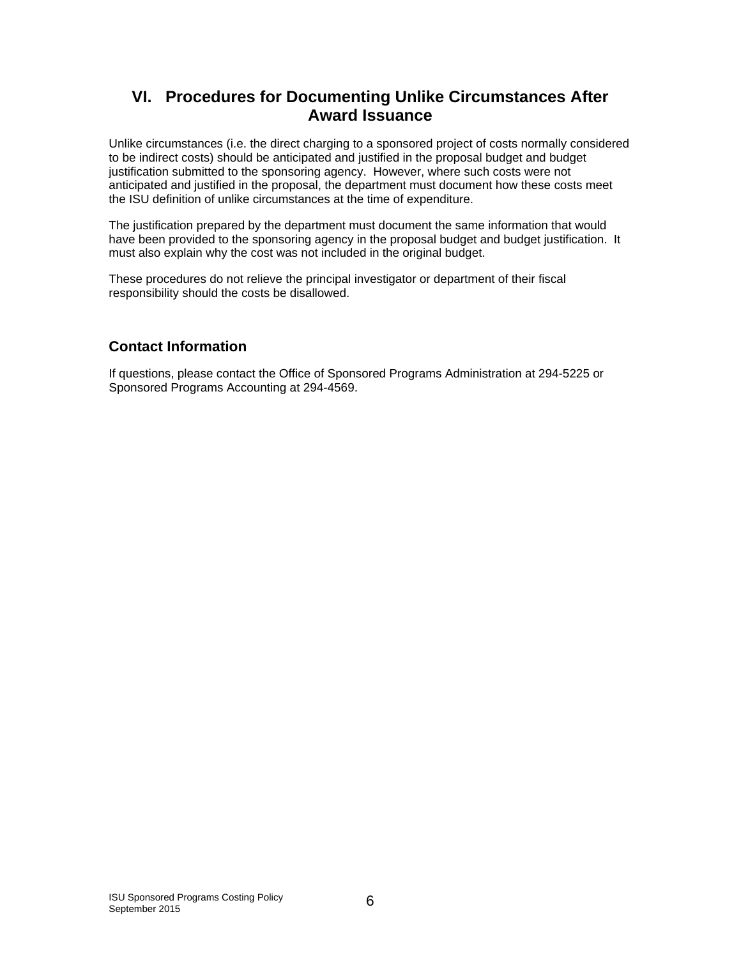# **VI. Procedures for Documenting Unlike Circumstances After Award Issuance**

Unlike circumstances (i.e. the direct charging to a sponsored project of costs normally considered to be indirect costs) should be anticipated and justified in the proposal budget and budget justification submitted to the sponsoring agency. However, where such costs were not anticipated and justified in the proposal, the department must document how these costs meet the ISU definition of unlike circumstances at the time of expenditure.

The justification prepared by the department must document the same information that would have been provided to the sponsoring agency in the proposal budget and budget justification. It must also explain why the cost was not included in the original budget.

These procedures do not relieve the principal investigator or department of their fiscal responsibility should the costs be disallowed.

### **Contact Information**

If questions, please contact the Office of Sponsored Programs Administration at 294-5225 or Sponsored Programs Accounting at 294-4569.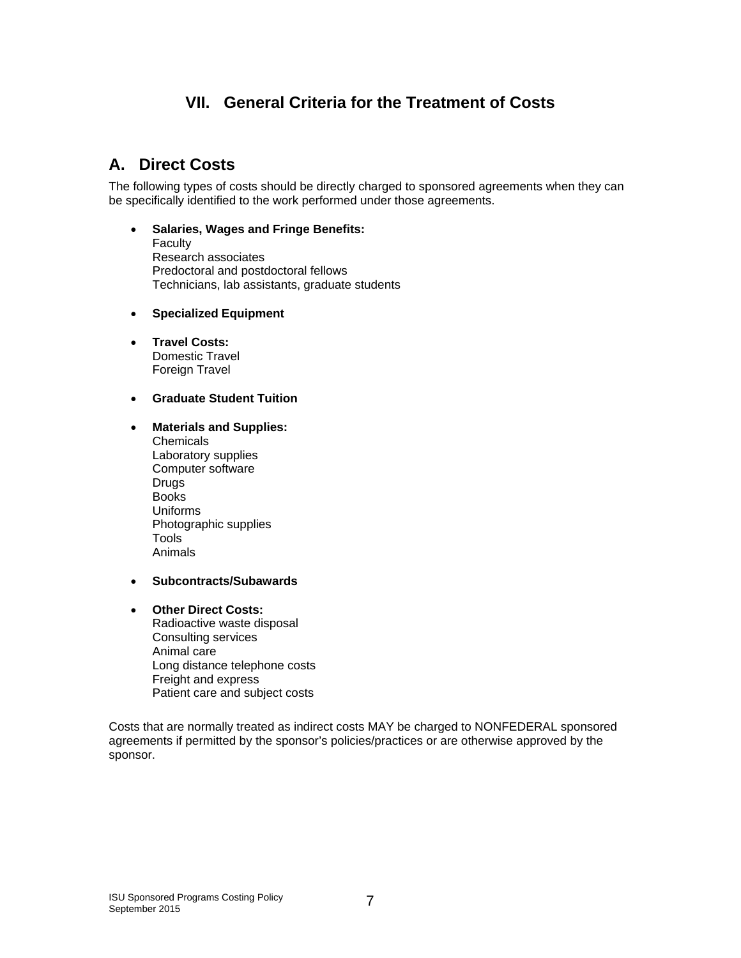# **VII. General Criteria for the Treatment of Costs**

# **A. Direct Costs**

The following types of costs should be directly charged to sponsored agreements when they can be specifically identified to the work performed under those agreements.

- **Salaries, Wages and Fringe Benefits:** Faculty Research associates Predoctoral and postdoctoral fellows Technicians, lab assistants, graduate students
- **Specialized Equipment**
- **Travel Costs:** Domestic Travel Foreign Travel
- **Graduate Student Tuition**
- **Materials and Supplies:**
	- **Chemicals** Laboratory supplies Computer software **Drugs** Books Uniforms Photographic supplies **Tools** Animals
- **Subcontracts/Subawards**
- **Other Direct Costs:** Radioactive waste disposal Consulting services Animal care Long distance telephone costs Freight and express

Patient care and subject costs

Costs that are normally treated as indirect costs MAY be charged to NONFEDERAL sponsored agreements if permitted by the sponsor's policies/practices or are otherwise approved by the sponsor.